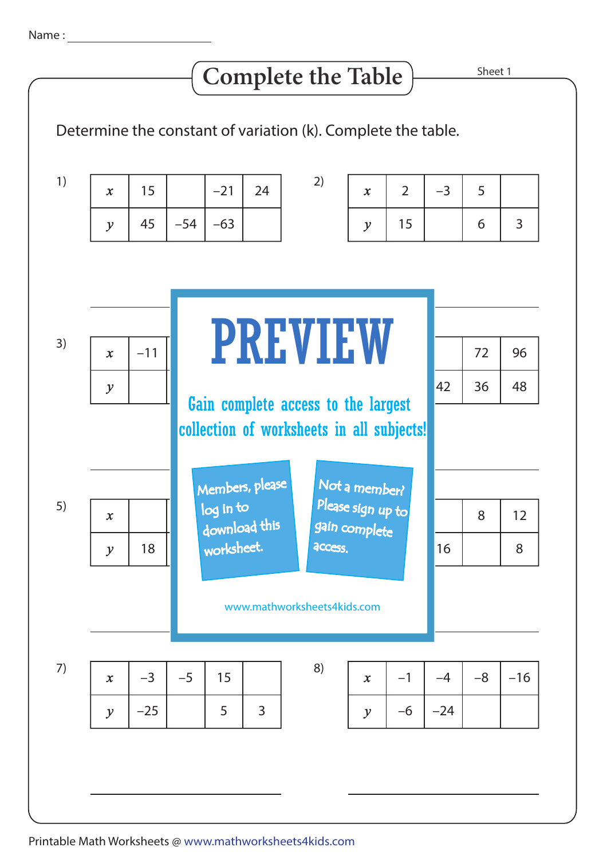